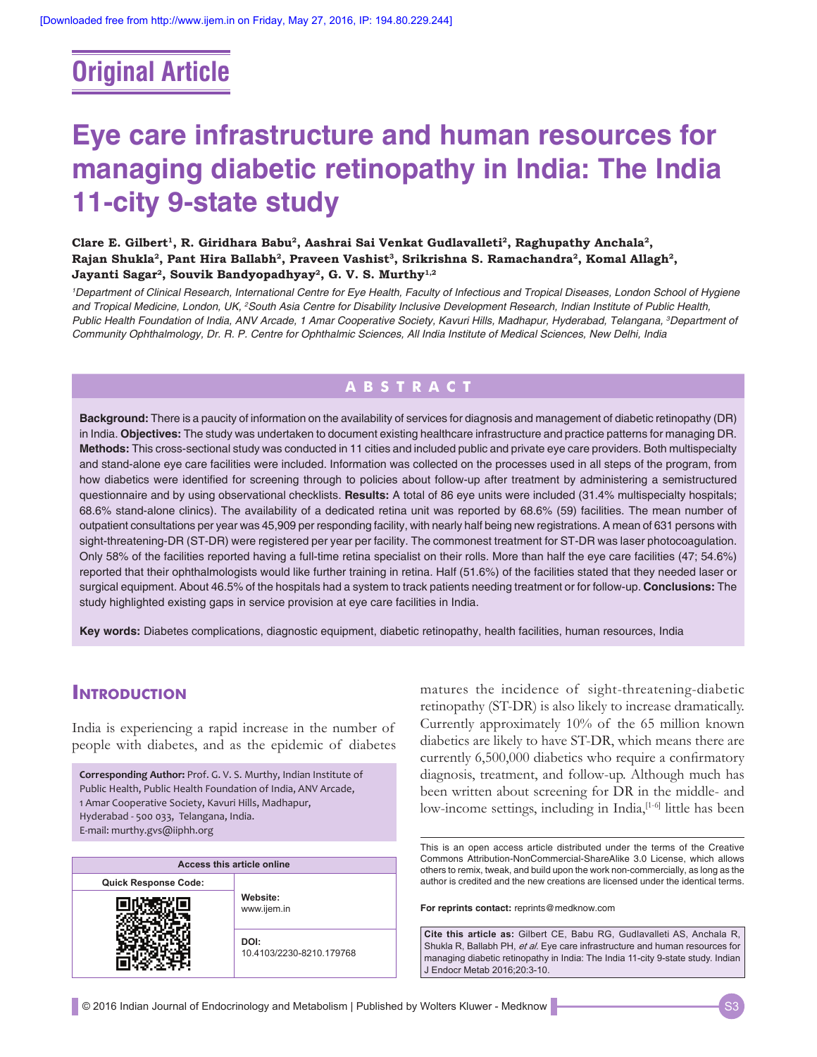# **Original Article**

# **Eye care infrastructure and human resources for managing diabetic retinopathy in India: The India 11‑city 9‑state study**

Clare E. Gilbert<sup>1</sup>, R. Giridhara Babu<sup>2</sup>, Aashrai Sai Venkat Gudlavalleti<sup>2</sup>, Raghupathy Anchala<sup>2</sup>, Rajan Shukla<sup>2</sup>, Pant Hira Ballabh<sup>2</sup>, Praveen Vashist<sup>3</sup>, Srikrishna S. Ramachandra<sup>2</sup>, Komal Allagh<sup>2</sup>, Jayanti Sagar<sup>2</sup>, Souvik Bandyopadhyay<sup>2</sup>, G. V. S. Murthy<sup>1,2</sup>

*1 Department of Clinical Research, International Centre for Eye Health, Faculty of Infectious and Tropical Diseases, London School of Hygiene and Tropical Medicine, London, UK, 2 South Asia Centre for Disability Inclusive Development Research, Indian Institute of Public Health, Public Health Foundation of India, ANV Arcade, 1 Amar Cooperative Society, Kavuri Hills, Madhapur, Hyderabad, Telangana, 3 Department of Community Ophthalmology, Dr. R. P. Centre for Ophthalmic Sciences, All India Institute of Medical Sciences, New Delhi, India*

## **ABSTRACT**

**Background:** There is a paucity of information on the availability of services for diagnosis and management of diabetic retinopathy (DR) in India. **Objectives:** The study was undertaken to document existing healthcare infrastructure and practice patterns for managing DR. **Methods:** This cross‑sectional study was conducted in 11 cities and included public and private eye care providers. Both multispecialty and stand‑alone eye care facilities were included. Information was collected on the processes used in all steps of the program, from how diabetics were identified for screening through to policies about follow-up after treatment by administering a semistructured questionnaire and by using observational checklists. **Results:** A total of 86 eye units were included (31.4% multispecialty hospitals; 68.6% stand‑alone clinics). The availability of a dedicated retina unit was reported by 68.6% (59) facilities. The mean number of outpatient consultations per year was 45,909 per responding facility, with nearly half being new registrations. A mean of 631 persons with sight-threatening-DR (ST-DR) were registered per year per facility. The commonest treatment for ST-DR was laser photocoagulation. Only 58% of the facilities reported having a full-time retina specialist on their rolls. More than half the eye care facilities (47; 54.6%) reported that their ophthalmologists would like further training in retina. Half (51.6%) of the facilities stated that they needed laser or surgical equipment. About 46.5% of the hospitals had a system to track patients needing treatment or for follow‑up. **Conclusions:** The study highlighted existing gaps in service provision at eye care facilities in India.

**Key words:** Diabetes complications, diagnostic equipment, diabetic retinopathy, health facilities, human resources, India

## **INTRODUCTION**

India is experiencing a rapid increase in the number of people with diabetes, and as the epidemic of diabetes

**Corresponding Author:** Prof. G. V. S. Murthy, Indian Institute of Public Health, Public Health Foundation of India, ANV Arcade, 1 Amar Cooperative Society, Kavuri Hills, Madhapur, Hyderabad - 500 033, Telangana, India. E-mail: murthy.gvs@iiphh.org

| Access this article online  |                                  |  |  |
|-----------------------------|----------------------------------|--|--|
| <b>Quick Response Code:</b> |                                  |  |  |
|                             | Website:<br>www.ijem.in          |  |  |
|                             | DOI:<br>10.4103/2230-8210.179768 |  |  |

matures the incidence of sight-threatening-diabetic retinopathy (ST-DR) is also likely to increase dramatically. Currently approximately 10% of the 65 million known diabetics are likely to have ST-DR, which means there are currently 6,500,000 diabetics who require a confirmatory diagnosis, treatment, and follow-up. Although much has been written about screening for DR in the middle- and low-income settings, including in India,<sup>[1-6]</sup> little has been

This is an open access article distributed under the terms of the Creative Commons Attribution‑NonCommercial‑ShareAlike 3.0 License, which allows others to remix, tweak, and build upon the work non‑commercially, as long as the author is credited and the new creations are licensed under the identical terms.

**For reprints contact:** reprints@medknow.com

**Cite this article as:** Gilbert CE, Babu RG, Gudlavalleti AS, Anchala R, Shukla R, Ballabh PH, *et al*. Eye care infrastructure and human resources for managing diabetic retinopathy in India: The India 11-city 9-state study. Indian J Endocr Metab 2016;20:3-10.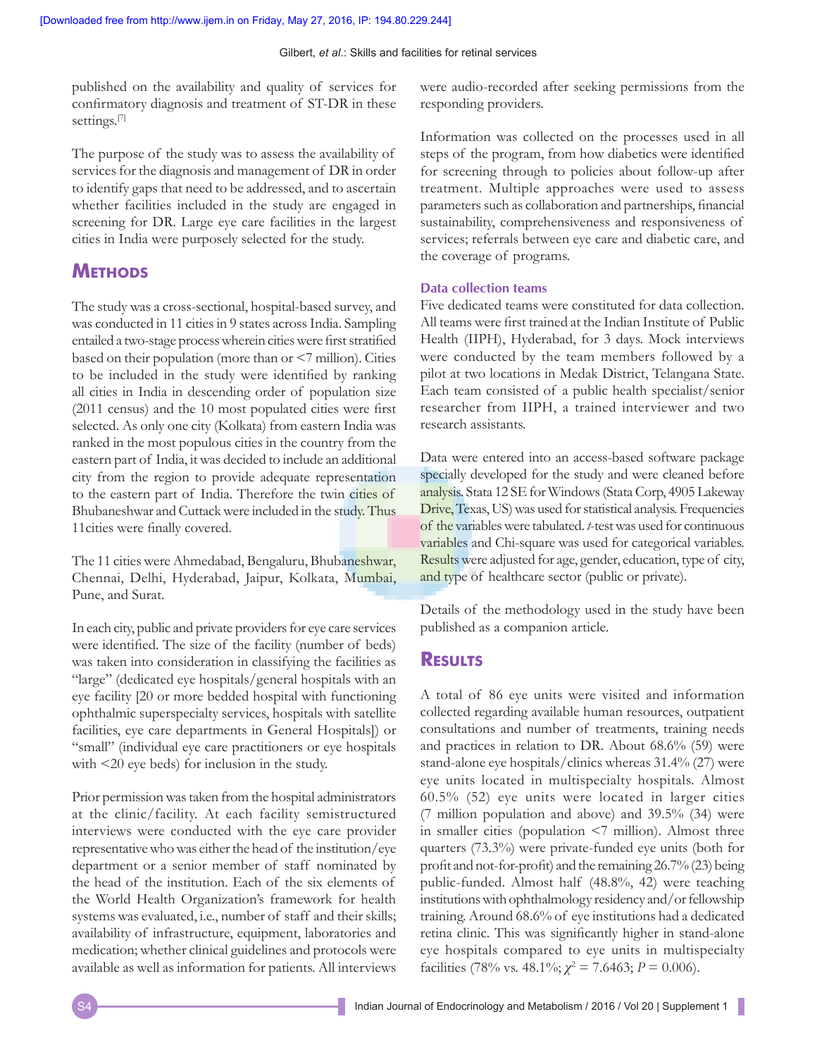#### Gilbert, *et al*.: Skills and facilities for retinal services

published on the availability and quality of services for confirmatory diagnosis and treatment of ST‑DR in these settings.<sup>[7]</sup>

The purpose of the study was to assess the availability of services for the diagnosis and management of DR in order to identify gaps that need to be addressed, and to ascertain whether facilities included in the study are engaged in screening for DR. Large eye care facilities in the largest cities in India were purposely selected for the study.

## **Methods**

The study was a cross-sectional, hospital-based survey, and was conducted in 11 cities in 9 states across India. Sampling entailed a two‑stage process wherein cities were first stratified based on their population (more than or <7 million). Cities to be included in the study were identified by ranking all cities in India in descending order of population size (2011 census) and the 10 most populated cities were first selected. As only one city (Kolkata) from eastern India was ranked in the most populous cities in the country from the eastern part of India, it was decided to include an additional city from the region to provide adequate representation to the eastern part of India. Therefore the twin cities of Bhubaneshwar and Cuttack were included in the study. Thus 11cities were finally covered.

The 11 cities were Ahmedabad, Bengaluru, Bhubaneshwar, Chennai, Delhi, Hyderabad, Jaipur, Kolkata, Mumbai, Pune, and Surat.

In each city, public and private providers for eye care services were identified. The size of the facility (number of beds) was taken into consideration in classifying the facilities as "large" (dedicated eye hospitals/general hospitals with an eye facility [20 or more bedded hospital with functioning ophthalmic superspecialty services, hospitals with satellite facilities, eye care departments in General Hospitals]) or "small" (individual eye care practitioners or eye hospitals with <20 eye beds) for inclusion in the study.

Prior permission was taken from the hospital administrators at the clinic/facility. At each facility semistructured interviews were conducted with the eye care provider representative who was either the head of the institution/eye department or a senior member of staff nominated by the head of the institution. Each of the six elements of the World Health Organization's framework for health systems was evaluated, i.e., number of staff and their skills; availability of infrastructure, equipment, laboratories and medication; whether clinical guidelines and protocols were available as well as information for patients. All interviews were audio-recorded after seeking permissions from the responding providers.

Information was collected on the processes used in all steps of the program, from how diabetics were identified for screening through to policies about follow-up after treatment. Multiple approaches were used to assess parameters such as collaboration and partnerships, financial sustainability, comprehensiveness and responsiveness of services; referrals between eye care and diabetic care, and the coverage of programs.

#### **Data collection teams**

Five dedicated teams were constituted for data collection. All teams were first trained at the Indian Institute of Public Health (IIPH), Hyderabad, for 3 days. Mock interviews were conducted by the team members followed by a pilot at two locations in Medak District, Telangana State. Each team consisted of a public health specialist/senior researcher from IIPH, a trained interviewer and two research assistants.

Data were entered into an access-based software package specially developed for the study and were cleaned before analysis. Stata 12 SE for Windows (Stata Corp, 4905 Lakeway Drive, Texas, US) was used for statistical analysis. Frequencies of the variables were tabulated. *t*-test was used for continuous variables and Chi-square was used for categorical variables. Results were adjusted for age, gender, education, type of city, and type of healthcare sector (public or private).

Details of the methodology used in the study have been published as a companion article.

### **Results**

A total of 86 eye units were visited and information collected regarding available human resources, outpatient consultations and number of treatments, training needs and practices in relation to DR. About 68.6% (59) were stand-alone eye hospitals/clinics whereas 31.4% (27) were eye units located in multispecialty hospitals. Almost 60.5% (52) eye units were located in larger cities (7 million population and above) and 39.5% (34) were in smaller cities (population  $\leq$ 7 million). Almost three quarters (73.3%) were private-funded eye units (both for profit and not-for-profit) and the remaining 26.7% (23) being public-funded. Almost half (48.8%, 42) were teaching institutions with ophthalmology residency and/or fellowship training. Around 68.6% of eye institutions had a dedicated retina clinic. This was significantly higher in stand-alone eye hospitals compared to eye units in multispecialty facilities (78% vs. 48.1%;  $\chi^2 = 7.6463$ ;  $P = 0.006$ ).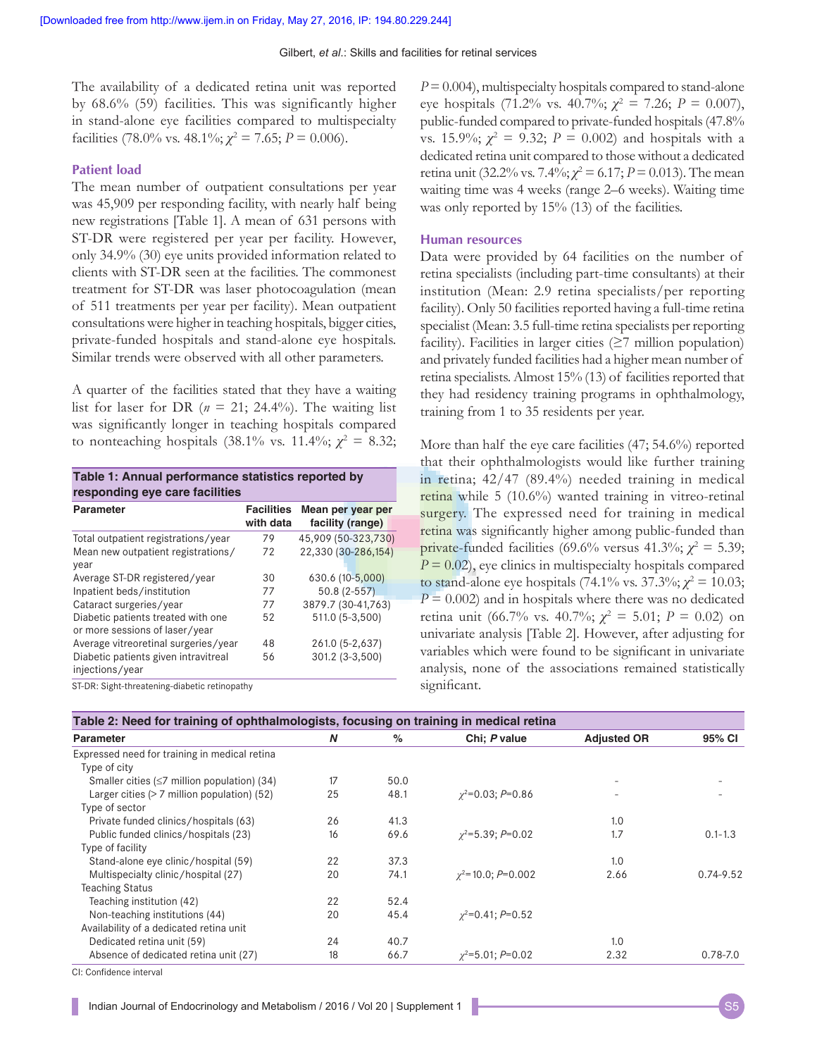The availability of a dedicated retina unit was reported by 68.6% (59) facilities. This was significantly higher in stand-alone eye facilities compared to multispecialty facilities (78.0% vs. 48.1%;  $\chi^2 = 7.65$ ;  $P = 0.006$ ).

#### **Patient load**

The mean number of outpatient consultations per year was 45,909 per responding facility, with nearly half being new registrations [Table 1]. A mean of 631 persons with ST-DR were registered per year per facility. However, only 34.9% (30) eye units provided information related to clients with ST-DR seen at the facilities. The commonest treatment for ST-DR was laser photocoagulation (mean of 511 treatments per year per facility). Mean outpatient consultations were higher in teaching hospitals, bigger cities, private-funded hospitals and stand-alone eye hospitals. Similar trends were observed with all other parameters.

A quarter of the facilities stated that they have a waiting list for laser for DR ( $n = 21$ ; 24.4%). The waiting list was significantly longer in teaching hospitals compared to nonteaching hospitals (38.1% vs. 11.4%;  $\chi^2 = 8.32$ ;

| Table 1: Annual performance statistics reported by<br>responding eye care facilities |                                |                                       |  |  |  |
|--------------------------------------------------------------------------------------|--------------------------------|---------------------------------------|--|--|--|
| Parameter                                                                            | <b>Facilities</b><br>with data | Mean per year per<br>facility (range) |  |  |  |
| Total outpatient registrations/year                                                  | 79                             | 45,909 (50-323,730)                   |  |  |  |
| Mean new outpatient registrations/<br>year                                           | 72                             | 22,330 (30-286,154)                   |  |  |  |
| Average ST-DR registered/year                                                        | 30                             | 630.6 (10-5,000)                      |  |  |  |
| Inpatient beds/institution                                                           | 77                             | $50.8(2-557)$                         |  |  |  |
| Cataract surgeries/year                                                              | 77                             | 3879.7 (30-41,763)                    |  |  |  |
| Diabetic patients treated with one<br>or more sessions of laser/year                 | 52                             | 511.0 (5-3,500)                       |  |  |  |
| Average vitreoretinal surgeries/year                                                 | 48                             | 261.0 (5-2,637)                       |  |  |  |
| Diabetic patients given intravitreal<br>injections/year                              | 56                             | 301.2 (3-3,500)                       |  |  |  |

ST-DR: Sight-threatening-diabetic retinopathy

*P*=0.004), multispecialty hospitals compared to stand-alone eye hospitals (71.2% vs. 40.7%; *χ*<sup>2</sup> = 7.26; *P* = 0.007), public-funded compared to private-funded hospitals(47.8% vs. 15.9%;  $\chi^2 = 9.32$ ;  $P = 0.002$ ) and hospitals with a dedicated retina unit compared to those without a dedicated retina unit (32.2% vs. 7.4%;  $\chi^2$  = 6.17; *P* = 0.013). The mean waiting time was 4 weeks (range 2–6 weeks). Waiting time was only reported by 15% (13) of the facilities.

#### **Human resources**

Data were provided by 64 facilities on the number of retina specialists (including part-time consultants) at their institution (Mean: 2.9 retina specialists/per reporting facility). Only 50 facilities reported having a full-time retina specialist (Mean: 3.5 full-time retina specialists per reporting facility). Facilities in larger cities  $(≥7$  million population) and privately funded facilities had a higher mean number of retina specialists. Almost 15% (13) of facilities reported that they had residency training programs in ophthalmology, training from 1 to 35 residents per year.

More than half the eye care facilities (47; 54.6%) reported that their ophthalmologists would like further training in retina; 42/47 (89.4%) needed training in medical retina while 5 (10.6%) wanted training in vitreo-retinal surgery. The expressed need for training in medical retina was significantly higher among public-funded than private-funded facilities (69.6% versus 41.3%;  $\chi^2 = 5.39$ ;  $P = 0.02$ , eye clinics in multispecialty hospitals compared to stand-alone eye hospitals (74.1% vs. 37.3%;  $χ² = 10.03$ ;  $P = 0.002$ ) and in hospitals where there was no dedicated retina unit (66.7% vs. 40.7%;  $\chi^2 = 5.01$ ;  $P = 0.02$ ) on univariate analysis [Table 2]. However, after adjusting for variables which were found to be significant in univariate analysis, none of the associations remained statistically significant.

| Parameter                                          | N  | $\%$ | Chi; P value                | <b>Adjusted OR</b>       | 95% CI        |
|----------------------------------------------------|----|------|-----------------------------|--------------------------|---------------|
|                                                    |    |      |                             |                          |               |
| Expressed need for training in medical retina      |    |      |                             |                          |               |
| Type of city                                       |    |      |                             |                          |               |
| Smaller cities ( $\leq$ 7 million population) (34) | 17 | 50.0 |                             | $\overline{\phantom{0}}$ |               |
| Larger cities $($ > 7 million population) (52)     | 25 | 48.1 | $\chi^2$ =0.03; P=0.86      | $\overline{\phantom{a}}$ |               |
| Type of sector                                     |    |      |                             |                          |               |
| Private funded clinics/hospitals (63)              | 26 | 41.3 |                             | 1.0                      |               |
| Public funded clinics/hospitals (23)               | 16 | 69.6 | $\gamma^2 = 5.39$ ; P=0.02  | 1.7                      | $0.1 - 1.3$   |
| Type of facility                                   |    |      |                             |                          |               |
| Stand-alone eye clinic/hospital (59)               | 22 | 37.3 |                             | 1.0                      |               |
| Multispecialty clinic/hospital (27)                | 20 | 74.1 | $\gamma^2$ =10.0; P=0.002   | 2.66                     | $0.74 - 9.52$ |
| <b>Teaching Status</b>                             |    |      |                             |                          |               |
| Teaching institution (42)                          | 22 | 52.4 |                             |                          |               |
| Non-teaching institutions (44)                     | 20 | 45.4 | $\gamma^2 = 0.41; P = 0.52$ |                          |               |
| Availability of a dedicated retina unit            |    |      |                             |                          |               |
| Dedicated retina unit (59)                         | 24 | 40.7 |                             | 1.0                      |               |
| Absence of dedicated retina unit (27)              | 18 | 66.7 | $\gamma^2 = 5.01$ ; P=0.02  | 2.32                     | $0.78 - 7.0$  |

CI: Confidence interval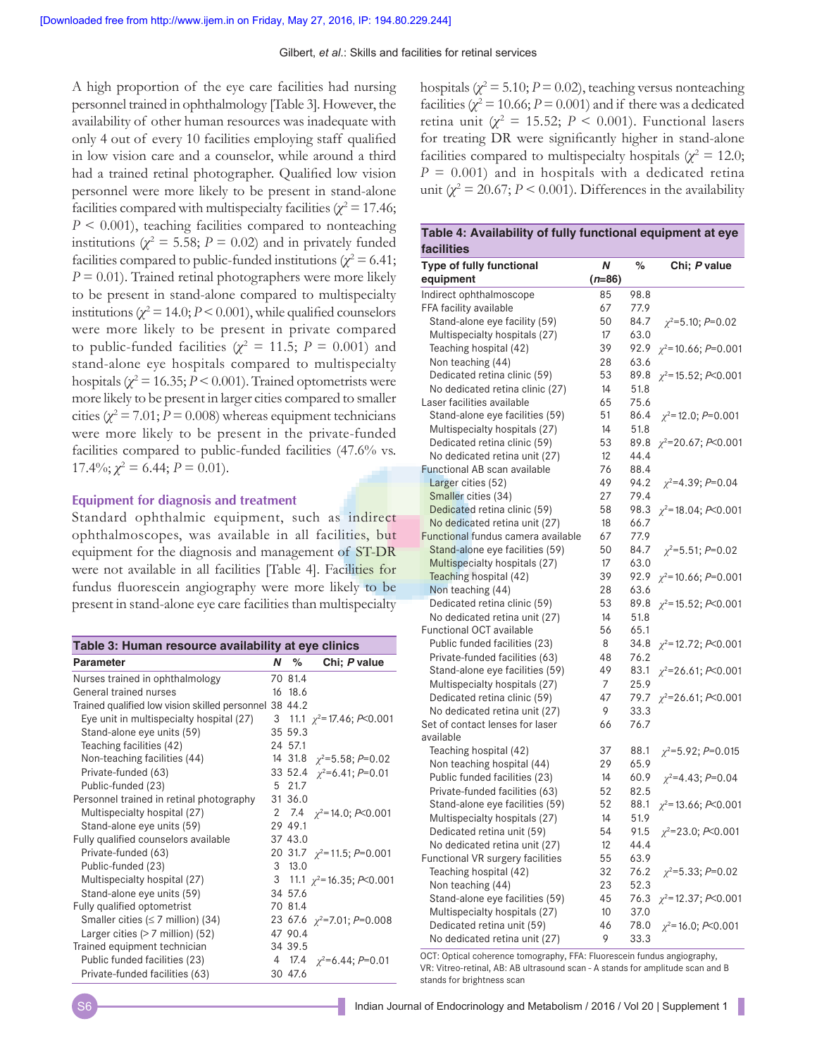A high proportion of the eye care facilities had nursing personnel trained in ophthalmology [Table 3]. However, the availability of other human resources was inadequate with only 4 out of every 10 facilities employing staff qualified in low vision care and a counselor, while around a third had a trained retinal photographer. Qualified low vision personnel were more likely to be present in stand-alone facilities compared with multispecialty facilities ( $\chi^2$  = 17.46; *P* < 0.001), teaching facilities compared to nonteaching institutions ( $\chi^2$  = 5.58; *P* = 0.02) and in privately funded facilities compared to public-funded institutions ( $\chi^2$  = 6.41; *P* = 0.01). Trained retinal photographers were more likely to be present in stand-alone compared to multispecialty institutions ( $\chi^2$  = 14.0; *P* < 0.001), while qualified counselors were more likely to be present in private compared to public-funded facilities ( $\chi^2 = 11.5$ ;  $P = 0.001$ ) and stand-alone eye hospitals compared to multispecialty hospitals ( $\chi^2$  = 16.35; *P* < 0.001). Trained optometrists were more likely to be present in larger cities compared to smaller cities ( $\chi^2$  = 7.01; *P* = 0.008) whereas equipment technicians were more likely to be present in the private-funded facilities compared to public-funded facilities (47.6% vs.  $17.4\%$ ;  $\chi^2 = 6.44$ ;  $P = 0.01$ ).

#### **Equipment for diagnosis and treatment**

Standard ophthalmic equipment, such as indirect ophthalmoscopes, was available in all facilities, but equipment for the diagnosis and management of ST-DR were not available in all facilities [Table 4]. Facilities for fundus fluorescein angiography were more likely to be present in stand-alone eye care facilities than multispecialty

| Table 3: Human resource availability at eye clinics    |    |         |                                   |  |
|--------------------------------------------------------|----|---------|-----------------------------------|--|
| <b>Parameter</b>                                       | N. | %       | Chi; P value                      |  |
| Nurses trained in ophthalmology                        |    | 70 81.4 |                                   |  |
| General trained nurses                                 |    | 16 18.6 |                                   |  |
| Trained qualified low vision skilled personnel 38 44.2 |    |         |                                   |  |
| Eye unit in multispecialty hospital (27)               |    |         | 3 11.1 $\chi^2$ = 17.46; P<0.001  |  |
| Stand-alone eye units (59)                             |    | 35 59.3 |                                   |  |
| Teaching facilities (42)                               |    | 24 57.1 |                                   |  |
| Non-teaching facilities (44)                           |    |         | 14 31.8 $\chi^2$ =5.58; P=0.02    |  |
| Private-funded (63)                                    |    |         | 33 52.4 $\gamma^2$ =6.41; P=0.01  |  |
| Public-funded (23)                                     |    | 5 21.7  |                                   |  |
| Personnel trained in retinal photography               |    | 31 36.0 |                                   |  |
| Multispecialty hospital (27)                           |    |         | 2 7.4 $\gamma^2$ = 14.0; P<0.001  |  |
| Stand-alone eye units (59)                             |    | 29 49.1 |                                   |  |
| Fully qualified counselors available                   |    | 37 43.0 |                                   |  |
| Private-funded (63)                                    |    |         | 20 31.7 $\gamma^2$ =11.5; P=0.001 |  |
| Public-funded (23)                                     |    | 3, 13.0 |                                   |  |
| Multispecialty hospital (27)                           |    |         | 3 11.1 $\chi^2$ =16.35; P<0.001   |  |
| Stand-alone eye units (59)                             |    | 34 57.6 |                                   |  |
| Fully qualified optometrist                            |    | 70 81.4 |                                   |  |
| Smaller cities ( $\leq$ 7 million) (34)                |    |         | 23 67.6 $\chi^2$ =7.01; P=0.008   |  |
| Larger cities $(>7$ million) (52)                      |    | 47 90.4 |                                   |  |
| Trained equipment technician                           |    | 34 39.5 |                                   |  |
| Public funded facilities (23)                          |    |         | 4 17.4 $\chi^2$ =6.44; P=0.01     |  |
| Private-funded facilities (63)                         |    | 30 47.6 |                                   |  |

hospitals ( $\chi^2$  = 5.10; *P* = 0.02), teaching versus nonteaching facilities ( $\chi^2$  = 10.66; *P* = 0.001) and if there was a dedicated retina unit ( $\chi^2 = 15.52$ ;  $P < 0.001$ ). Functional lasers for treating DR were significantly higher in stand-alone facilities compared to multispecialty hospitals ( $\chi^2 = 12.0$ ;  $P = 0.001$  and in hospitals with a dedicated retina unit  $(\chi^2 = 20.67; P \le 0.001)$ . Differences in the availability

| Table 4: Availability of fully functional equipment at eye |   |   |              |  |
|------------------------------------------------------------|---|---|--------------|--|
| <b>facilities</b>                                          |   |   |              |  |
| Type of fully functional                                   | N | % | Chi: P value |  |

| Type of fully functional<br>equipment                            | N<br>$(n=86)$ | $\%$         | Chi; P value                |
|------------------------------------------------------------------|---------------|--------------|-----------------------------|
| Indirect ophthalmoscope                                          | 85            | 98.8         |                             |
| FFA facility available                                           | 67            | 77.9         |                             |
| Stand-alone eye facility (59)                                    | 50            | 84.7         | $\chi^2$ =5.10; P=0.02      |
| Multispecialty hospitals (27)                                    | 17            | 63.0         |                             |
| Teaching hospital (42)                                           | 39            | 92.9         | $\chi^2$ =10.66; P=0.001    |
| Non teaching (44)                                                | 28            | 63.6         |                             |
| Dedicated retina clinic (59)                                     | 53            | 89.8         | $\gamma^2$ = 15.52; P<0.001 |
| No dedicated retina clinic (27)                                  | 14            | 51.8         |                             |
| Laser facilities available                                       | 65            | 75.6         |                             |
| Stand-alone eye facilities (59)                                  | 51            | 86.4         | $\chi^2$ = 12.0; P=0.001    |
| Multispecialty hospitals (27)                                    | 14            | 51.8         |                             |
| Dedicated retina clinic (59)                                     | 53            | 89.8         | $\chi^2$ =20.67; P<0.001    |
| No dedicated retina unit (27)                                    | 12            | 44.4         |                             |
| Functional AB scan available                                     | 76            | 88.4         |                             |
| Larger cities (52)                                               | 49            | 94.2         | $\chi^2$ =4.39; P=0.04      |
| Smaller cities (34)                                              | 27            | 79.4         |                             |
| Dedicated retina clinic (59)                                     | 58            | 98.3         | $\gamma^2$ =18.04; P<0.001  |
| No dedicated retina unit (27)                                    | 18<br>67      | 66.7         |                             |
| Functional fundus camera available                               | 50            | 77.9<br>84.7 |                             |
| Stand-alone eye facilities (59)<br>Multispecialty hospitals (27) | 17            | 63.0         | $\chi^2$ =5.51; P=0.02      |
| Teaching hospital (42)                                           | 39            | 92.9         |                             |
| Non teaching (44)                                                | 28            | 63.6         | $\chi^2$ =10.66; P=0.001    |
| Dedicated retina clinic (59)                                     | 53            | 89.8         | $\chi^2$ = 15.52; P<0.001   |
| No dedicated retina unit (27)                                    | 14            | 51.8         |                             |
| <b>Functional OCT available</b>                                  | 56            | 65.1         |                             |
| Public funded facilities (23)                                    | 8             | 34.8         | $\chi^2$ = 12.72; P<0.001   |
| Private-funded facilities (63)                                   | 48            | 76.2         |                             |
| Stand-alone eye facilities (59)                                  | 49            | 83.1         | $\chi^2$ =26.61; P<0.001    |
| Multispecialty hospitals (27)                                    | 7             | 25.9         |                             |
| Dedicated retina clinic (59)                                     | 47            | 79.7         | $\chi^2$ =26.61; P<0.001    |
| No dedicated retina unit (27)                                    | 9             | 33.3         |                             |
| Set of contact lenses for laser                                  | 66            | 76.7         |                             |
| available                                                        |               |              |                             |
| Teaching hospital (42)                                           | 37            | 88.1         | $\chi^2$ =5.92; P=0.015     |
| Non teaching hospital (44)                                       | 29            | 65.9         |                             |
| Public funded facilities (23)                                    | 14            | 60.9         | $\chi^2$ =4.43; P=0.04      |
| Private-funded facilities (63)                                   | 52            | 82.5         |                             |
| Stand-alone eye facilities (59)                                  | 52            | 88.1         | $\chi^2$ =13.66; P<0.001    |
| Multispecialty hospitals (27)                                    | 14            | 51.9         |                             |
| Dedicated retina unit (59)                                       | 54            | 91.5         | $\chi^2$ =23.0; P<0.001     |
| No dedicated retina unit (27)                                    | 12            | 44.4         |                             |
| Functional VR surgery facilities                                 | 55            | 63.9         |                             |
| Teaching hospital (42)                                           | 32            | 76.2         | $\chi^2$ =5.33; P=0.02      |
| Non teaching (44)                                                | 23            | 52.3         |                             |
| Stand-alone eye facilities (59)                                  | 45            | 76.3         | $\chi^2$ = 12.37; P<0.001   |
| Multispecialty hospitals (27)                                    | 10            | 37.0         |                             |
| Dedicated retina unit (59)                                       | 46            | 78.0         | $\chi^2$ =16.0; P<0.001     |
| No dedicated retina unit (27)                                    | 9             | 33.3         |                             |

OCT: Optical coherence tomography, FFA: Fluorescein fundus angiography, VR: Vitreo-retinal, AB: AB ultrasound scan - A stands for amplitude scan and B stands for brightness scan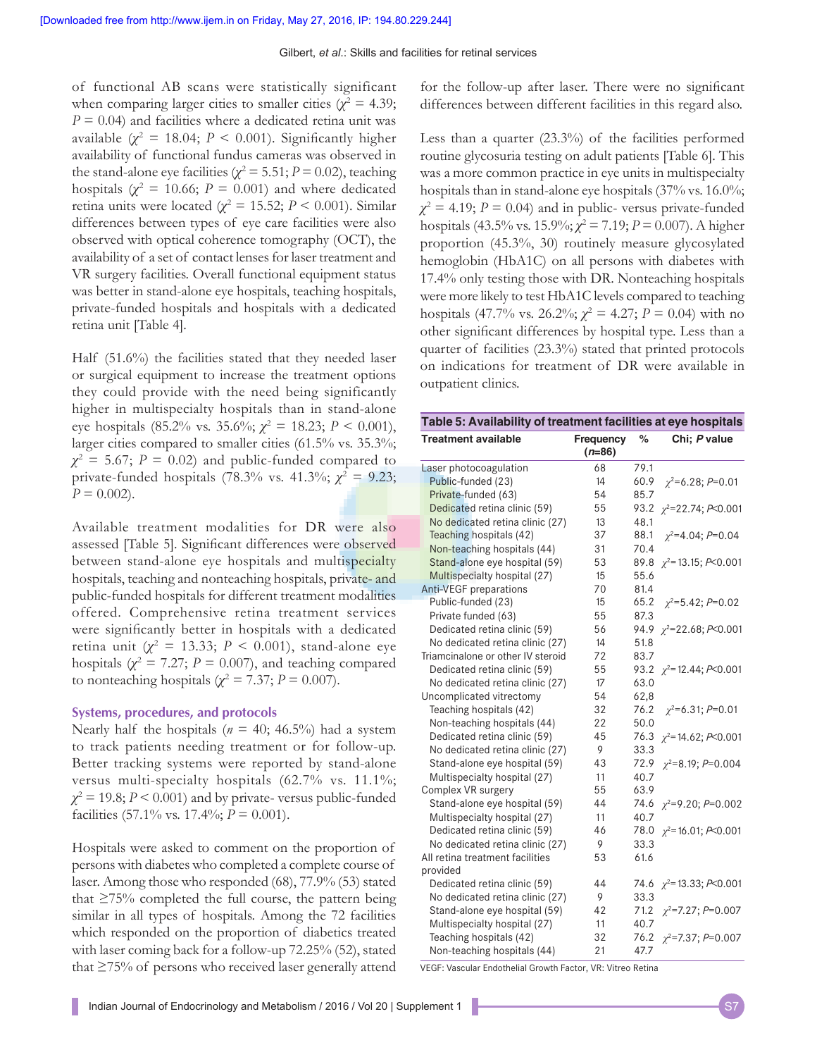of functional AB scans were statistically significant when comparing larger cities to smaller cities ( $\chi^2 = 4.39$ ;  $P = 0.04$ ) and facilities where a dedicated retina unit was available  $(\chi^2 = 18.04; P < 0.001)$ . Significantly higher availability of functional fundus cameras was observed in the stand-alone eye facilities ( $\chi^2$  = 5.51; *P* = 0.02), teaching hospitals  $(\chi^2 = 10.66; P = 0.001)$  and where dedicated retina units were located ( $\chi^2 = 15.52$ ;  $P < 0.001$ ). Similar differences between types of eye care facilities were also observed with optical coherence tomography (OCT), the availability of a set of contact lenses for laser treatment and VR surgery facilities. Overall functional equipment status was better in stand-alone eye hospitals, teaching hospitals, private-funded hospitals and hospitals with a dedicated retina unit [Table 4].

Half (51.6%) the facilities stated that they needed laser or surgical equipment to increase the treatment options they could provide with the need being significantly higher in multispecialty hospitals than in stand-alone eye hospitals (85.2% vs. 35.6%; *χ*<sup>2</sup> = 18.23; *P* < 0.001), larger cities compared to smaller cities (61.5% vs. 35.3%;  $\chi^2$  = 5.67; *P* = 0.02) and public-funded compared to private-funded hospitals (78.3% vs. 41.3%;  $\chi^2 = 9.23$ ;  $P = 0.002$ .

Available treatment modalities for DR were also assessed [Table 5]. Significant differences were observed between stand-alone eye hospitals and multispecialty hospitals, teaching and nonteaching hospitals, private- and public-funded hospitals for different treatment modalities offered. Comprehensive retina treatment services were significantly better in hospitals with a dedicated retina unit ( $\chi^2 = 13.33$ ;  $P < 0.001$ ), stand-alone eye hospitals ( $\chi^2 = 7.27$ ;  $P = 0.007$ ), and teaching compared to nonteaching hospitals ( $\chi^2 = 7.37$ ;  $P = 0.007$ ).

#### **Systems, procedures, and protocols**

Nearly half the hospitals ( $n = 40$ ; 46.5%) had a system to track patients needing treatment or for follow-up. Better tracking systems were reported by stand-alone versus multi-specialty hospitals (62.7% vs. 11.1%;  $\chi^2$  = 19.8; *P* < 0.001) and by private-versus public-funded facilities (57.1% vs. 17.4%; *P* = 0.001).

Hospitals were asked to comment on the proportion of persons with diabetes who completed a complete course of laser. Among those who responded (68), 77.9% (53) stated that  $\geq$ 75% completed the full course, the pattern being similar in all types of hospitals. Among the 72 facilities which responded on the proportion of diabetics treated with laser coming back for a follow-up 72.25% (52), stated that ≥75% of persons who received laser generally attend for the follow‑up after laser. There were no significant differences between different facilities in this regard also.

Less than a quarter (23.3%) of the facilities performed routine glycosuria testing on adult patients [Table 6]. This was a more common practice in eye units in multispecialty hospitals than in stand-alone eye hospitals (37% vs. 16.0%;  $\chi^2$  = 4.19; *P* = 0.04) and in public- versus private-funded hospitals (43.5% vs. 15.9%;  $\chi^2 = 7.19$ ;  $P = 0.007$ ). A higher proportion (45.3%, 30) routinely measure glycosylated hemoglobin (HbA1C) on all persons with diabetes with 17.4% only testing those with DR. Nonteaching hospitals were more likely to test HbA1C levels compared to teaching hospitals (47.7% vs. 26.2%;  $\chi^2 = 4.27$ ;  $P = 0.04$ ) with no other significant differences by hospital type. Less than a quarter of facilities (23.3%) stated that printed protocols on indications for treatment of DR were available in outpatient clinics.

| Table 5: Availability of treatment facilities at eye hospitals |                       |      |                                |  |  |
|----------------------------------------------------------------|-----------------------|------|--------------------------------|--|--|
| <b>Treatment available</b>                                     | Frequency<br>$(n=86)$ | %    | Chi; P value                   |  |  |
| Laser photocoagulation                                         | 68                    | 79.1 |                                |  |  |
| Public-funded (23)                                             | 14                    | 60.9 | $\chi^2$ =6.28; P=0.01         |  |  |
| Private-funded (63)                                            | 54                    | 85.7 |                                |  |  |
| Dedicated retina clinic (59)                                   | 55                    |      | 93.2 $\chi^2$ =22.74; P<0.001  |  |  |
| No dedicated retina clinic (27)                                | 13                    | 48.1 |                                |  |  |
| Teaching hospitals (42)                                        | 37                    | 88.1 | $\chi^2$ =4.04; P=0.04         |  |  |
| Non-teaching hospitals (44)                                    | 31                    | 70.4 |                                |  |  |
| Stand-alone eye hospital (59)                                  | 53                    |      | 89.8 $\chi^2$ =13.15; P<0.001  |  |  |
| Multispecialty hospital (27)                                   | 15                    | 55.6 |                                |  |  |
| Anti-VEGF preparations                                         | 70                    | 81.4 |                                |  |  |
| Public-funded (23)                                             | 15                    | 65.2 | $\chi^2$ =5.42; P=0.02         |  |  |
| Private funded (63)                                            | 55                    | 87.3 |                                |  |  |
| Dedicated retina clinic (59)                                   | 56                    |      | 94.9 $\chi^2$ =22.68; P<0.001  |  |  |
| No dedicated retina clinic (27)                                | 14                    | 51.8 |                                |  |  |
| Triamcinalone or other IV steroid                              | 72                    | 83.7 |                                |  |  |
| Dedicated retina clinic (59)                                   | 55                    |      | 93.2 $\chi^2$ =12.44; P<0.001  |  |  |
| No dedicated retina clinic (27)                                | 17                    | 63.0 |                                |  |  |
| Uncomplicated vitrectomy                                       | 54                    | 62,8 |                                |  |  |
| Teaching hospitals (42)                                        | 32                    | 76.2 | $\chi^2$ =6.31; P=0.01         |  |  |
| Non-teaching hospitals (44)                                    | 22                    | 50.0 |                                |  |  |
| Dedicated retina clinic (59)                                   | 45                    |      | 76.3 $\chi^2$ =14.62; P<0.001  |  |  |
| No dedicated retina clinic (27)                                | 9                     | 33.3 |                                |  |  |
| Stand-alone eye hospital (59)                                  | 43                    | 72.9 | $\chi^2$ =8.19; P=0.004        |  |  |
| Multispecialty hospital (27)                                   | 11                    | 40.7 |                                |  |  |
| Complex VR surgery                                             | 55                    | 63.9 |                                |  |  |
| Stand-alone eye hospital (59)                                  | 44                    |      | 74.6 $\chi^2 = 9.20$ ; P=0.002 |  |  |
| Multispecialty hospital (27)                                   | 11                    | 40.7 |                                |  |  |
| Dedicated retina clinic (59)                                   | 46                    | 78.0 | $\chi^2$ =16.01; P<0.001       |  |  |
| No dedicated retina clinic (27)                                | 9                     | 33.3 |                                |  |  |
| All retina treatment facilities                                | 53                    | 61.6 |                                |  |  |
| provided                                                       |                       |      |                                |  |  |
| Dedicated retina clinic (59)                                   | 44                    |      | 74.6 $\chi^2$ = 13.33; P<0.001 |  |  |
| No dedicated retina clinic (27)                                | 9                     | 33.3 |                                |  |  |
| Stand-alone eye hospital (59)                                  | 42                    |      | 71.2 $\chi^2$ =7.27; P=0.007   |  |  |
| Multispecialty hospital (27)                                   | 11                    | 40.7 |                                |  |  |
| Teaching hospitals (42)                                        | 32                    |      | 76.2 $\chi^2$ =7.37; P=0.007   |  |  |
| Non-teaching hospitals (44)                                    | 21                    | 47.7 |                                |  |  |

VEGF: Vascular Endothelial Growth Factor, VR: Vitreo Retina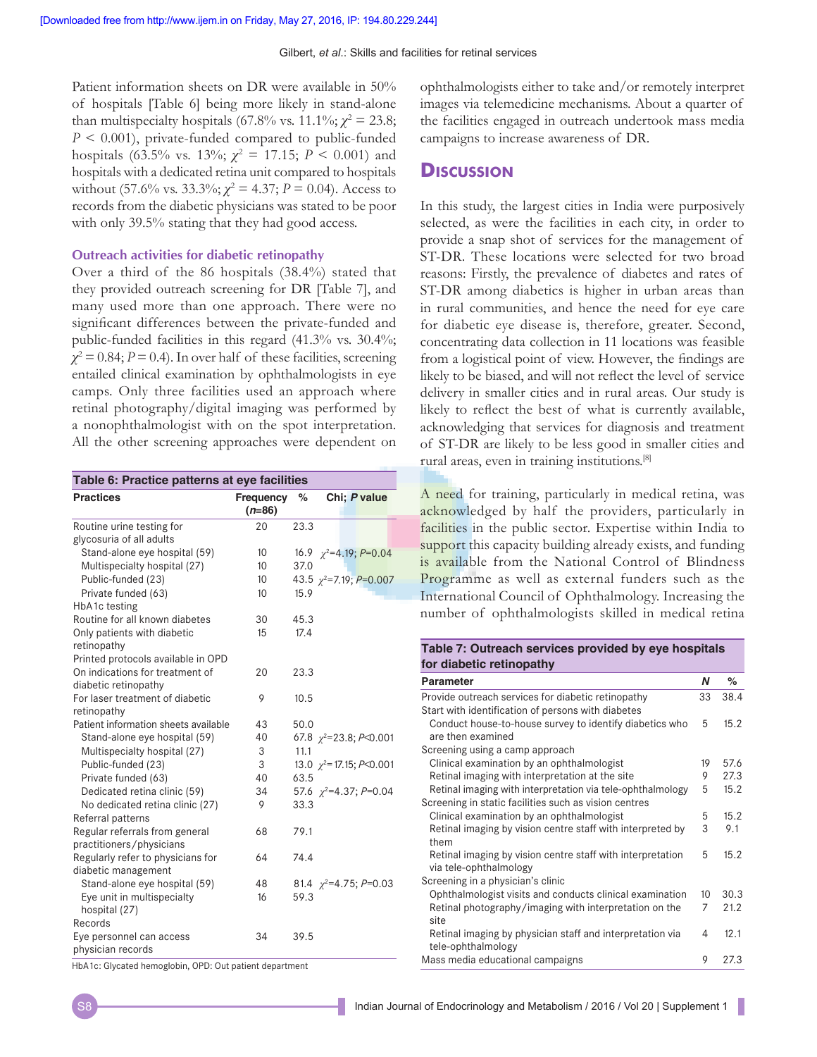Patient information sheets on DR were available in 50% of hospitals [Table 6] being more likely in stand-alone than multispecialty hospitals (67.8% vs. 11.1%;  $\chi^2 = 23.8$ ; *P* < 0.001), private-funded compared to public-funded hospitals (63.5% vs. 13%;  $\chi^2 = 17.15$ ;  $P < 0.001$ ) and hospitals with a dedicated retina unit compared to hospitals without (57.6% vs. 33.3%;  $\chi^2 = 4.37$ ;  $P = 0.04$ ). Access to records from the diabetic physicians was stated to be poor with only 39.5% stating that they had good access.

#### **Outreach activities for diabetic retinopathy**

Over a third of the 86 hospitals (38.4%) stated that they provided outreach screening for DR [Table 7], and many used more than one approach. There were no significant differences between the private-funded and public-funded facilities in this regard (41.3% vs. 30.4%;  $\chi^2$  = 0.84; *P* = 0.4). In over half of these facilities, screening entailed clinical examination by ophthalmologists in eye camps. Only three facilities used an approach where retinal photography/digital imaging was performed by a nonophthalmologist with on the spot interpretation. All the other screening approaches were dependent on

| Table 6: Practice patterns at eye facilities |                       |      |                                  |
|----------------------------------------------|-----------------------|------|----------------------------------|
| <b>Practices</b>                             | Frequency<br>$(n=86)$ | %    | Chi; P value                     |
| Routine urine testing for                    | 20                    | 23.3 |                                  |
| glycosuria of all adults                     |                       |      |                                  |
| Stand-alone eye hospital (59)                | 10                    |      | 16.9 $\chi^2$ =4.19; P=0.04      |
| Multispecialty hospital (27)                 | 10                    | 37.0 |                                  |
| Public-funded (23)                           | 10                    |      | 43.5 $\chi^2$ =7.19; P=0.007     |
| Private funded (63)                          | 10                    | 15.9 |                                  |
| HbA1c testing                                |                       |      |                                  |
| Routine for all known diabetes               | 30                    | 45.3 |                                  |
| Only patients with diabetic                  | 15                    | 17.4 |                                  |
| retinopathy                                  |                       |      |                                  |
| Printed protocols available in OPD           |                       |      |                                  |
| On indications for treatment of              | 20                    | 23.3 |                                  |
| diabetic retinopathy                         |                       |      |                                  |
| For laser treatment of diabetic              | 9                     | 10.5 |                                  |
| retinopathy                                  |                       |      |                                  |
| Patient information sheets available         | 43                    | 50.0 |                                  |
| Stand-alone eye hospital (59)                | 40                    |      | 67.8 $\chi^2$ =23.8; P<0.001     |
| Multispecialty hospital (27)                 | 3                     | 11.1 |                                  |
| Public-funded (23)                           | 3                     |      | 13.0 $\chi^2$ = 17.15; P < 0.001 |
| Private funded (63)                          | 40                    | 63.5 |                                  |
| Dedicated retina clinic (59)                 | 34                    |      | 57.6 $\chi^2$ =4.37; P=0.04      |
| No dedicated retina clinic (27)              | 9                     | 33.3 |                                  |
| Referral patterns                            |                       |      |                                  |
| Regular referrals from general               | 68                    | 79.1 |                                  |
| practitioners/physicians                     |                       |      |                                  |
| Regularly refer to physicians for            | 64                    | 74.4 |                                  |
| diabetic management                          |                       |      |                                  |
| Stand-alone eye hospital (59)                | 48                    |      | 81.4 $\gamma^2 = 4.75$ ; P=0.03  |
| Eye unit in multispecialty                   | 16                    | 59.3 |                                  |
| hospital (27)                                |                       |      |                                  |
| Records                                      |                       |      |                                  |
| Eye personnel can access                     | 34                    | 39.5 |                                  |
| physician records                            |                       |      |                                  |

HbA1c: Glycated hemoglobin, OPD: Out patient department

ophthalmologists either to take and/or remotely interpret images via telemedicine mechanisms. About a quarter of the facilities engaged in outreach undertook mass media campaigns to increase awareness of DR.

### **Discussion**

In this study, the largest cities in India were purposively selected, as were the facilities in each city, in order to provide a snap shot of services for the management of ST-DR. These locations were selected for two broad reasons: Firstly, the prevalence of diabetes and rates of ST-DR among diabetics is higher in urban areas than in rural communities, and hence the need for eye care for diabetic eye disease is, therefore, greater. Second, concentrating data collection in 11 locations was feasible from a logistical point of view. However, the findings are likely to be biased, and will not reflect the level of service delivery in smaller cities and in rural areas. Our study is likely to reflect the best of what is currently available, acknowledging that services for diagnosis and treatment of ST-DR are likely to be less good in smaller cities and rural areas, even in training institutions.[8]

A need for training, particularly in medical retina, was acknowledged by half the providers, particularly in facilities in the public sector. Expertise within India to support this capacity building already exists, and funding is available from the National Control of Blindness Programme as well as external funders such as the International Council of Ophthalmology. Increasing the number of ophthalmologists skilled in medical retina

#### **Table 7: Outreach services provided by eye hospitals for diabetic retinopathy**

| <b>Parameter</b>                                                             | Ν  | ℅    |
|------------------------------------------------------------------------------|----|------|
| Provide outreach services for diabetic retinopathy                           | 33 | 38.4 |
| Start with identification of persons with diabetes                           |    |      |
| Conduct house-to-house survey to identify diabetics who<br>are then examined | 5  | 15.2 |
| Screening using a camp approach                                              |    |      |
| Clinical examination by an ophthalmologist                                   | 19 | 57.6 |
| Retinal imaging with interpretation at the site                              | 9  | 27.3 |
| Retinal imaging with interpretation via tele-ophthalmology                   | 5  | 15.2 |
| Screening in static facilities such as vision centres                        |    |      |
| Clinical examination by an ophthalmologist                                   | 5  | 15.2 |
| Retinal imaging by vision centre staff with interpreted by                   | 3  | 9.1  |
| them                                                                         |    |      |
| Retinal imaging by vision centre staff with interpretation                   | 5  | 15.2 |
| via tele-ophthalmology                                                       |    |      |
| Screening in a physician's clinic                                            |    |      |
| Ophthalmologist visits and conducts clinical examination                     | 10 | 30.3 |
| Retinal photography/imaging with interpretation on the                       | 7  | 21.2 |
| site                                                                         |    |      |
| Retinal imaging by physician staff and interpretation via                    | 4  | 12.1 |
| tele-ophthalmology                                                           |    |      |
| Mass media educational campaigns                                             | 9  | 27.3 |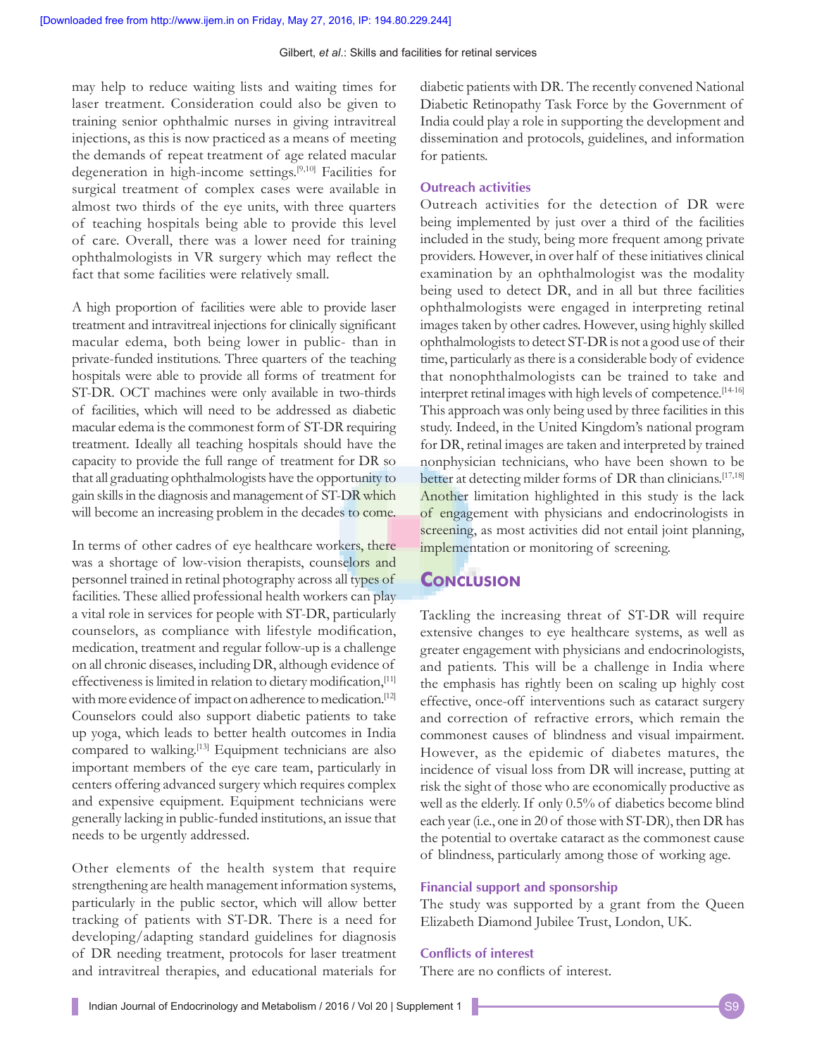may help to reduce waiting lists and waiting times for laser treatment. Consideration could also be given to training senior ophthalmic nurses in giving intravitreal injections, as this is now practiced as a means of meeting the demands of repeat treatment of age related macular degeneration in high-income settings.[9,10] Facilities for surgical treatment of complex cases were available in almost two thirds of the eye units, with three quarters of teaching hospitals being able to provide this level of care. Overall, there was a lower need for training ophthalmologists in VR surgery which may reflect the fact that some facilities were relatively small.

A high proportion of facilities were able to provide laser treatment and intravitreal injections for clinically significant macular edema, both being lower in public- than in private-funded institutions. Three quarters of the teaching hospitals were able to provide all forms of treatment for ST-DR. OCT machines were only available in two-thirds of facilities, which will need to be addressed as diabetic macular edema is the commonest form of ST-DR requiring treatment. Ideally all teaching hospitals should have the capacity to provide the full range of treatment for DR so that all graduating ophthalmologists have the opportunity to gain skills in the diagnosis and management of ST-DR which will become an increasing problem in the decades to come.

In terms of other cadres of eye healthcare workers, there was a shortage of low-vision therapists, counselors and personnel trained in retinal photography across all types of facilities. These allied professional health workers can play a vital role in services for people with ST-DR, particularly counselors, as compliance with lifestyle modification, medication, treatment and regular follow-up is a challenge on all chronic diseases, including DR, although evidence of effectiveness is limited in relation to dietary modification, [11] with more evidence of impact on adherence to medication.<sup>[12]</sup> Counselors could also support diabetic patients to take up yoga, which leads to better health outcomes in India compared to walking.<sup>[13]</sup> Equipment technicians are also important members of the eye care team, particularly in centers offering advanced surgery which requires complex and expensive equipment. Equipment technicians were generally lacking in public-funded institutions, an issue that needs to be urgently addressed.

Other elements of the health system that require strengthening are health management information systems, particularly in the public sector, which will allow better tracking of patients with ST-DR. There is a need for developing/adapting standard guidelines for diagnosis of DR needing treatment, protocols for laser treatment and intravitreal therapies, and educational materials for

diabetic patients with DR. The recently convened National Diabetic Retinopathy Task Force by the Government of India could play a role in supporting the development and dissemination and protocols, guidelines, and information for patients.

#### **Outreach activities**

Outreach activities for the detection of DR were being implemented by just over a third of the facilities included in the study, being more frequent among private providers. However, in over half of these initiatives clinical examination by an ophthalmologist was the modality being used to detect DR, and in all but three facilities ophthalmologists were engaged in interpreting retinal images taken by other cadres. However, using highly skilled ophthalmologists to detect ST-DR is not a good use of their time, particularly as there is a considerable body of evidence that nonophthalmologists can be trained to take and interpret retinal images with high levels of competence.[14-16] This approach was only being used by three facilities in this study. Indeed, in the United Kingdom's national program for DR, retinal images are taken and interpreted by trained nonphysician technicians, who have been shown to be better at detecting milder forms of DR than clinicians.<sup>[17,18]</sup> Another limitation highlighted in this study is the lack of engagement with physicians and endocrinologists in screening, as most activities did not entail joint planning, implementation or monitoring of screening.

## **Conclusion**

Tackling the increasing threat of ST-DR will require extensive changes to eye healthcare systems, as well as greater engagement with physicians and endocrinologists, and patients. This will be a challenge in India where the emphasis has rightly been on scaling up highly cost effective, once-off interventions such as cataract surgery and correction of refractive errors, which remain the commonest causes of blindness and visual impairment. However, as the epidemic of diabetes matures, the incidence of visual loss from DR will increase, putting at risk the sight of those who are economically productive as well as the elderly. If only 0.5% of diabetics become blind each year (i.e., one in 20 of those with ST-DR), then DR has the potential to overtake cataract as the commonest cause of blindness, particularly among those of working age.

#### **Financial support and sponsorship**

The study was supported by a grant from the Queen Elizabeth Diamond Jubilee Trust, London, UK.

#### **Conflicts of interest**

There are no conflicts of interest.